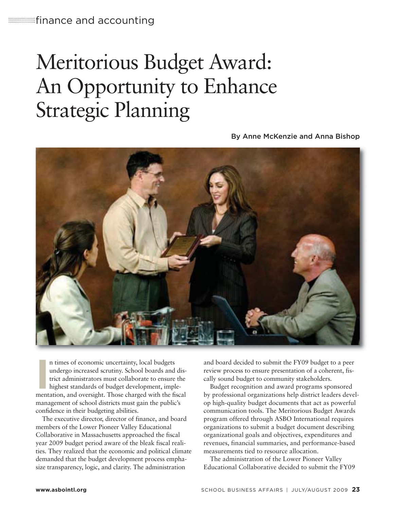# Meritorious Budget Award: An Opportunity to Enhance Strategic Planning

By Anne McKenzie and Anna Bishop



In times of economic uncertainty, local budgets<br>
undergo increased scrutiny. School boards and dis-<br>
trict administrators must collaborate to ensure the<br>
highest standards of budget development, imple-<br>
mentation, and over n times of economic uncertainty, local budgets undergo increased scrutiny. School boards and district administrators must collaborate to ensure the highest standards of budget development, implemanagement of school districts must gain the public's confidence in their budgeting abilities.

The executive director, director of finance, and board members of the Lower Pioneer Valley Educational Collaborative in Massachusetts approached the fiscal year 2009 budget period aware of the bleak fiscal realities. They realized that the economic and political climate demanded that the budget development process emphasize transparency, logic, and clarity. The administration

and board decided to submit the FY09 budget to a peer review process to ensure presentation of a coherent, fiscally sound budget to community stakeholders.

Budget recognition and award programs sponsored by professional organizations help district leaders develop high-quality budget documents that act as powerful communication tools. The Meritorious Budget Awards program offered through ASBO International requires organizations to submit a budget document describing organizational goals and objectives, expenditures and revenues, financial summaries, and performance-based measurements tied to resource allocation.

The administration of the Lower Pioneer Valley Educational Collaborative decided to submit the FY09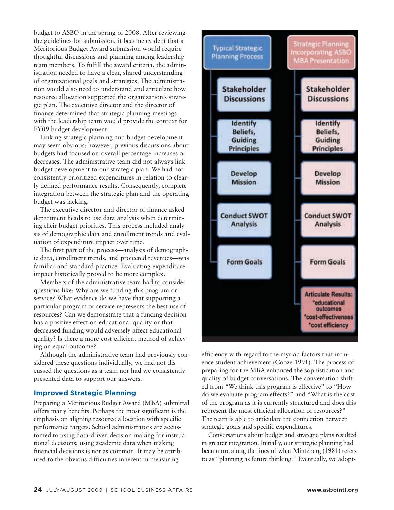budget to ASBO in the spring of 2008. After reviewing the guidelines for submission, it became evident that a Meritorious Budget Award submission would require thoughtful discussions and planning among leadership team members. To fulfill the award criteria, the administration needed to have a clear, shared understanding of organizational goals and strategies. The administration would also need to understand and articulate how resource allocation supported the organization's strategic plan. The executive director and the director of finance determined that strategic planning meetings with the leadership team would provide the context for FY09 budget development.

Linking strategic planning and budget development may seem obvious; however, previous discussions about budgets had focused on overall percentage increases or decreases. The administrative team did not always link budget development to our strategic plan. We had not consistently prioritized expenditures in relation to clearly defined performance results. Consequently, complete integration between the strategic plan and the operating budget was lacking.

The executive director and director of finance asked department heads to use data analysis when determining their budget priorities. This process included analysis of demographic data and enrollment trends and evaluation of expenditure impact over time.

The first part of the process—analysis of demographic data, enrollment trends, and projected revenues—was familiar and standard practice. Evaluating expenditure impact historically proved to be more complex.

Members of the administrative team had to consider questions like: Why are we funding this program or service? What evidence do we have that supporting a particular program or service represents the best use of resources? Can we demonstrate that a funding decision has a positive effect on educational quality or that decreased funding would adversely affect educational quality? Is there a more cost-efficient method of achieving an equal outcome?

Although the administrative team had previously considered these questions individually, we had not discussed the questions as a team nor had we consistently presented data to support our answers.

### **Improved Strategic Planning**

Preparing a Meritorious Budget Award (MBA) submittal offers many benefits. Perhaps the most significant is the emphasis on aligning resource allocation with specific performance targets. School administrators are accustomed to using data-driven decision making for instructional decisions; using academic data when making financial decisions is not as common. It may be attributed to the obvious difficulties inherent in measuring



efficiency with regard to the myriad factors that influence student achievement (Cooze 1991). The process of preparing for the MBA enhanced the sophistication and quality of budget conversations. The conversation shifted from "We think this program is effective" to "How do we evaluate program effects?" and "What is the cost of the program as it is currently structured and does this represent the most efficient allocation of resources?" The team is able to articulate the connection between strategic goals and specific expenditures.

Conversations about budget and strategic plans resulted in greater integration. Initially, our strategic planning had been more along the lines of what Mintzberg (1981) refers to as "planning as future thinking." Eventually, we adopt